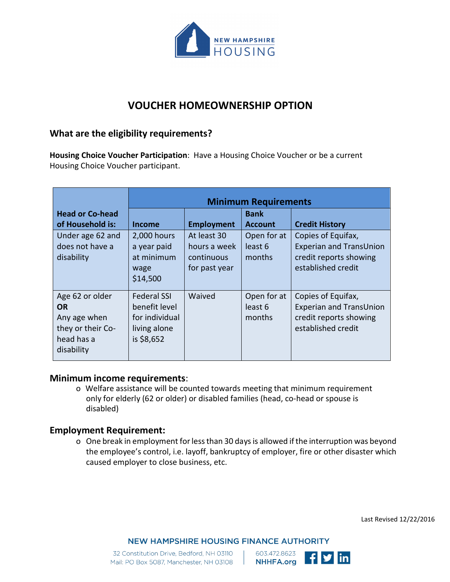

# **VOUCHER HOMEOWNERSHIP OPTION**

## **What are the eligibility requirements?**

**Housing Choice Voucher Participation**: Have a Housing Choice Voucher or be a current Housing Choice Voucher participant.

|                                                                                               | <b>Minimum Requirements</b>                                                         |                                                            |                                             |                                                                                                      |
|-----------------------------------------------------------------------------------------------|-------------------------------------------------------------------------------------|------------------------------------------------------------|---------------------------------------------|------------------------------------------------------------------------------------------------------|
| <b>Head or Co-head</b><br>of Household is:                                                    | <b>Income</b>                                                                       | <b>Employment</b>                                          | <b>Bank</b><br><b>Account</b>               | <b>Credit History</b>                                                                                |
| Under age 62 and<br>does not have a<br>disability                                             | 2,000 hours<br>a year paid<br>at minimum<br>wage<br>\$14,500                        | At least 30<br>hours a week<br>continuous<br>for past year | Open for at<br>least <sub>6</sub><br>months | Copies of Equifax,<br><b>Experian and TransUnion</b><br>credit reports showing<br>established credit |
| Age 62 or older<br><b>OR</b><br>Any age when<br>they or their Co-<br>head has a<br>disability | <b>Federal SSI</b><br>benefit level<br>for individual<br>living alone<br>is \$8,652 | Waived                                                     | Open for at<br>least 6<br>months            | Copies of Equifax,<br><b>Experian and TransUnion</b><br>credit reports showing<br>established credit |

## **Minimum income requirements**:

o Welfare assistance will be counted towards meeting that minimum requirement only for elderly (62 or older) or disabled families (head, co-head or spouse is disabled)

## **Employment Requirement:**

o One break in employment forless than 30 days is allowed ifthe interruption was beyond the employee's control, i.e. layoff, bankruptcy of employer, fire or other disaster which caused employer to close business, etc.

Last Revised 12/22/2016

**NEW HAMPSHIRE HOUSING FINANCE AUTHORITY**